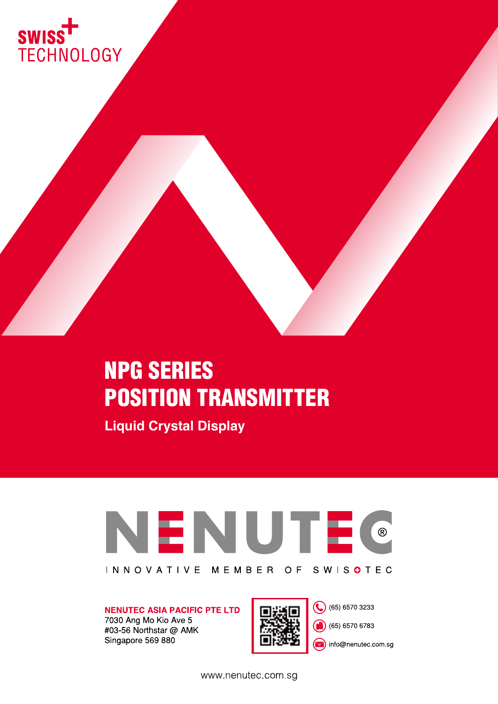

# NPG SERIES POSITION TRANSMITTER

**Liquid Crystal Display**



**NENUTEC ASIA PACIFIC PTE LTD** 7030 Ang Mo Kio Ave 5

#03-56 Northstar @ AMK Singapore 569 880



(65) 6570 3233

(同) (65) 6570 6783

nfo@nenutec.com.sg

www.nenutec.com.sg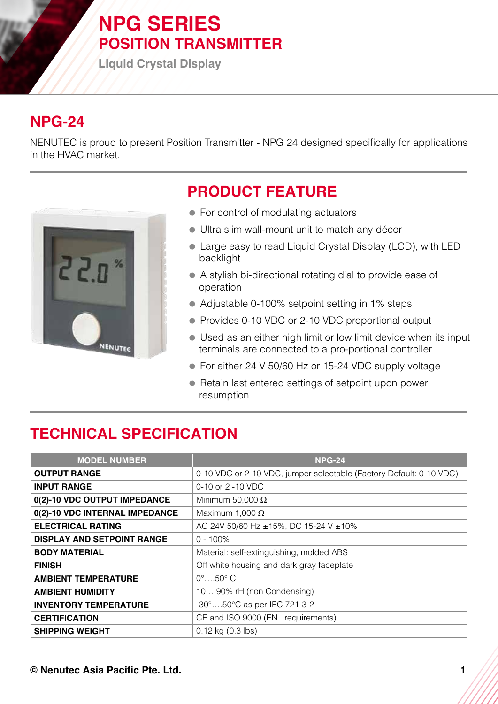# **NPG SERIES POSITION TRANSMITTER**

**Liquid Crystal Display**

## **NPG-24**

NENUTEC is proud to present Position Transmitter - NPG 24 designed specifically for applications in the HVAC market.



## **PRODUCT FEATURE**

- For control of modulating actuators
- Ultra slim wall-mount unit to match any décor
- Large easy to read Liquid Crystal Display (LCD), with LED backlight
- A stylish bi-directional rotating dial to provide ease of operation
- Adjustable 0-100% setpoint setting in 1% steps
- Provides 0-10 VDC or 2-10 VDC proportional output
- Used as an either high limit or low limit device when its input terminals are connected to a pro-portional controller
- For either 24 V 50/60 Hz or 15-24 VDC supply voltage
- Retain last entered settings of setpoint upon power resumption

# **TECHNICAL SPECIFICATION**

| <b>MODEL NUMBER</b>               | <b>NPG-24</b>                                                       |
|-----------------------------------|---------------------------------------------------------------------|
| <b>OUTPUT RANGE</b>               | 0-10 VDC or 2-10 VDC, jumper selectable (Factory Default: 0-10 VDC) |
| <b>INPUT RANGE</b>                | 0-10 or 2 -10 VDC                                                   |
| 0(2)-10 VDC OUTPUT IMPEDANCE      | Minimum 50,000 $\Omega$                                             |
| 0(2)-10 VDC INTERNAL IMPEDANCE    | Maximum 1,000 $\Omega$                                              |
| <b>ELECTRICAL RATING</b>          | AC 24V 50/60 Hz ±15%, DC 15-24 V ±10%                               |
| <b>DISPLAY AND SETPOINT RANGE</b> | $0 - 100\%$                                                         |
| <b>BODY MATERIAL</b>              | Material: self-extinguishing, molded ABS                            |
| <b>FINISH</b>                     | Off white housing and dark gray faceplate                           |
| <b>AMBIENT TEMPERATURE</b>        | $0^\circ$ $50^\circ$ C                                              |
| <b>AMBIENT HUMIDITY</b>           | 1090% rH (non Condensing)                                           |
| <b>INVENTORY TEMPERATURE</b>      | -30°50°C as per IEC 721-3-2                                         |
| <b>CERTIFICATION</b>              | CE and ISO 9000 (ENrequirements)                                    |
| <b>SHIPPING WEIGHT</b>            | $0.12$ kg $(0.3$ lbs)                                               |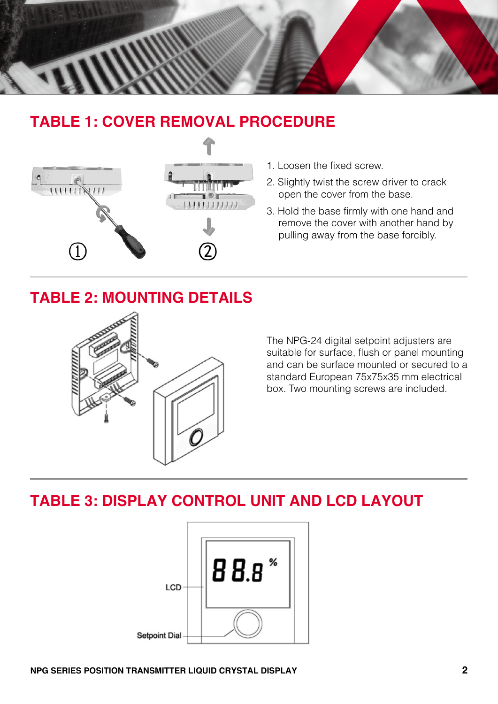

### **TABLE 1: COVER REMOVAL PROCEDURE**



- 1. Loosen the fixed screw.
- 2. Slightly twist the screw driver to crack open the cover from the base.
- 3. Hold the base firmly with one hand and remove the cover with another hand by pulling away from the base forcibly.

### **TABLE 2: MOUNTING DETAILS**



The NPG-24 digital setpoint adjusters are suitable for surface, flush or panel mounting and can be surface mounted or secured to a standard European 75x75x35 mm electrical box. Two mounting screws are included.

### **TABLE 3: DISPLAY CONTROL UNIT AND LCD LAYOUT**

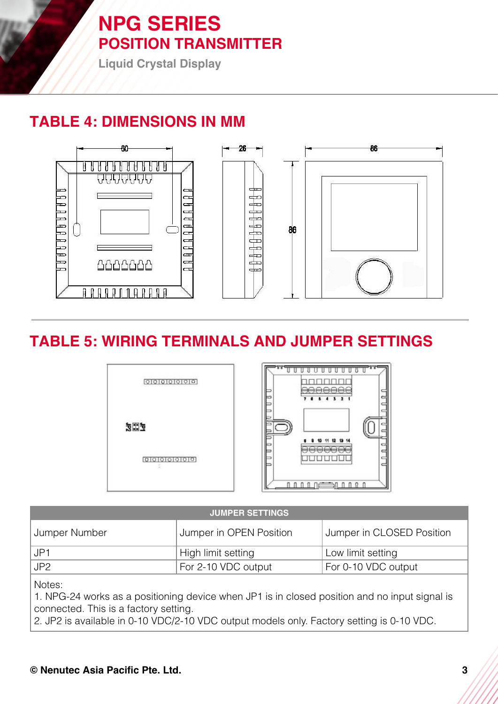# **NPG SERIES POSITION TRANSMITTER**

**Liquid Crystal Display**

### **TABLE 4: DIMENSIONS IN MM**



### **TABLE 5: WIRING TERMINALS AND JUMPER SETTINGS**



#### **JUMPER SETTINGS**

| Jumper Number | <b>Jumper in OPEN Position</b> | Jumper in CLOSED Position |
|---------------|--------------------------------|---------------------------|
| l JP1         | High limit setting             | Low limit setting         |
| ∟JP2          | For 2-10 VDC output            | For 0-10 VDC output       |

Notes:

1. NPG-24 works as a positioning device when JP1 is in closed position and no input signal is connected. This is a factory setting.

2. JP2 is available in 0-10 VDC/2-10 VDC output models only. Factory setting is 0-10 VDC.